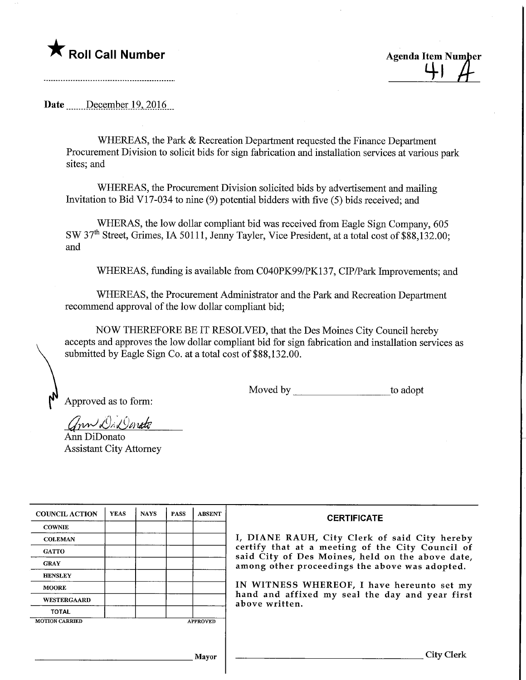**T** Roll Call Number **Agents** Agenda Item Number

 $41$ 

Date December 19, 2016

WHEREAS, the Park & Recreation Department requested the Finance Department Procurement Division to solicit bids for sign fabrication and installation services at various park sites; and

WHEREAS, the Procurement Division solicited bids by advertisement and mailing Invitation to Bid VI 7-034 to nine (9) potential bidders with five (5) bids received; and

WHERAS, the low dollar compliant bid was received from Eagle Sign Company, 605 SW 37th Street, Grimes, IA 50111, Jenny Tayler, Vice President, at a total cost of \$88,132.00; and

WHEREAS, funding is available from C040PK99/PK137, CIP/Park Improvements; and

WHEREAS, the Procurement Administrator and the Park and Recreation Department recommend approval of the low dollar compliant bid;

NOW THEREFORE BE IT RESOLVED, that the Des Moines City Council hereby accepts and approves the low dollar compliant bid for sign fabrication and installation services as submitted by Eagle Sign Co. at a total cost of \$88,132.00.

Approved as to form:

Moved by to adopt

ann Di Donato

Ann DiDonato Assistant City Attorney

| <b>COUNCIL ACTION</b> | <b>YEAS</b> | <b>NAYS</b> | <b>PASS</b> | <b>ABSENT</b>   | <b>CERTIFICATE</b>                                                                                                                                                                                      |  |  |  |
|-----------------------|-------------|-------------|-------------|-----------------|---------------------------------------------------------------------------------------------------------------------------------------------------------------------------------------------------------|--|--|--|
| <b>COWNIE</b>         |             |             |             |                 |                                                                                                                                                                                                         |  |  |  |
| <b>COLEMAN</b>        |             |             |             |                 | I, DIANE RAUH, City Clerk of said City hereby<br>certify that at a meeting of the City Council of<br>said City of Des Moines, held on the above date,<br>among other proceedings the above was adopted. |  |  |  |
| <b>GATTO</b>          |             |             |             |                 |                                                                                                                                                                                                         |  |  |  |
| <b>GRAY</b>           |             |             |             |                 |                                                                                                                                                                                                         |  |  |  |
| <b>HENSLEY</b>        |             |             |             |                 |                                                                                                                                                                                                         |  |  |  |
| <b>MOORE</b>          |             |             |             |                 | IN WITNESS WHEREOF, I have hereunto set my                                                                                                                                                              |  |  |  |
| <b>WESTERGAARD</b>    |             |             |             |                 | hand and affixed my seal the day and year first<br>above written.                                                                                                                                       |  |  |  |
| <b>TOTAL</b>          |             |             |             |                 |                                                                                                                                                                                                         |  |  |  |
| <b>MOTION CARRIED</b> |             |             |             | <b>APPROVED</b> |                                                                                                                                                                                                         |  |  |  |
|                       |             |             |             |                 |                                                                                                                                                                                                         |  |  |  |
|                       |             |             |             |                 |                                                                                                                                                                                                         |  |  |  |
|                       |             |             |             | <b>Mayor</b>    | City Clerk                                                                                                                                                                                              |  |  |  |